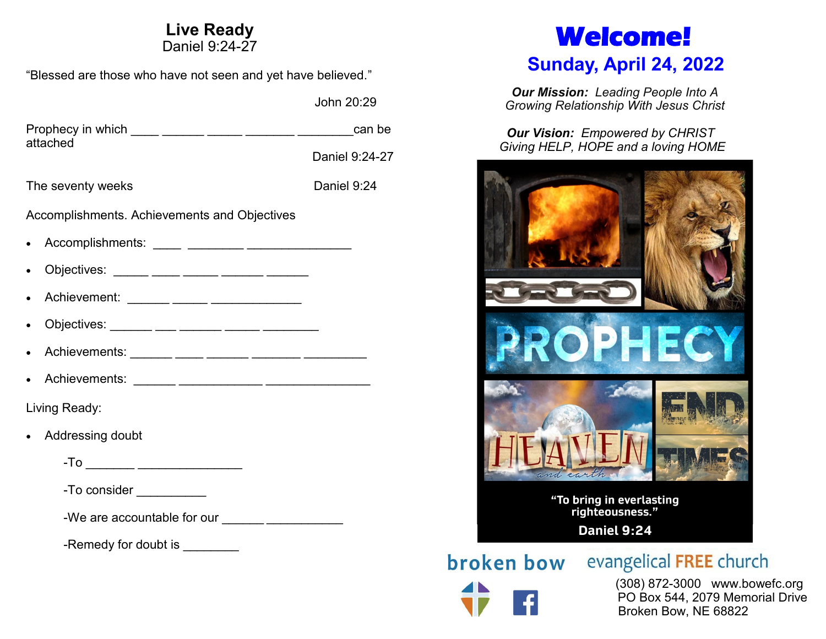# **Live Ready**

Daniel 9:24-27

"Blessed are those who have not seen and yet have believed."

John 20:29

| attached          |                                                | can be         |
|-------------------|------------------------------------------------|----------------|
|                   |                                                | Daniel 9:24-27 |
| The seventy weeks |                                                | Daniel 9:24    |
|                   | Accomplishments. Achievements and Objectives   |                |
|                   |                                                |                |
|                   | Objectives: _____ ____ _____ _____ _____ _____ |                |
|                   | Achievement: ______ _____ __________________   |                |
|                   | Objectives: ______ ___ ___ _____ _____ ______  |                |
|                   |                                                |                |
|                   |                                                |                |
|                   | Living Ready:                                  |                |
|                   | Addressing doubt                               |                |
|                   | -To ________ _____________________             |                |
|                   | -To consider ___________                       |                |
|                   |                                                |                |
|                   | -Remedy for doubt is                           |                |

# **Welcome!**

# **Sunday, April 24, 2022**

*Our Mission: Leading People Into A Growing Relationship With Jesus Christ*

*Our Vision: Empowered by CHRIST Giving HELP, HOPE and a loving HOME*



broken bow

evangelical FREE church

 (308) 872-3000 www.bowefc.org PO Box 544, 2079 Memorial Drive Broken Bow, NE 68822